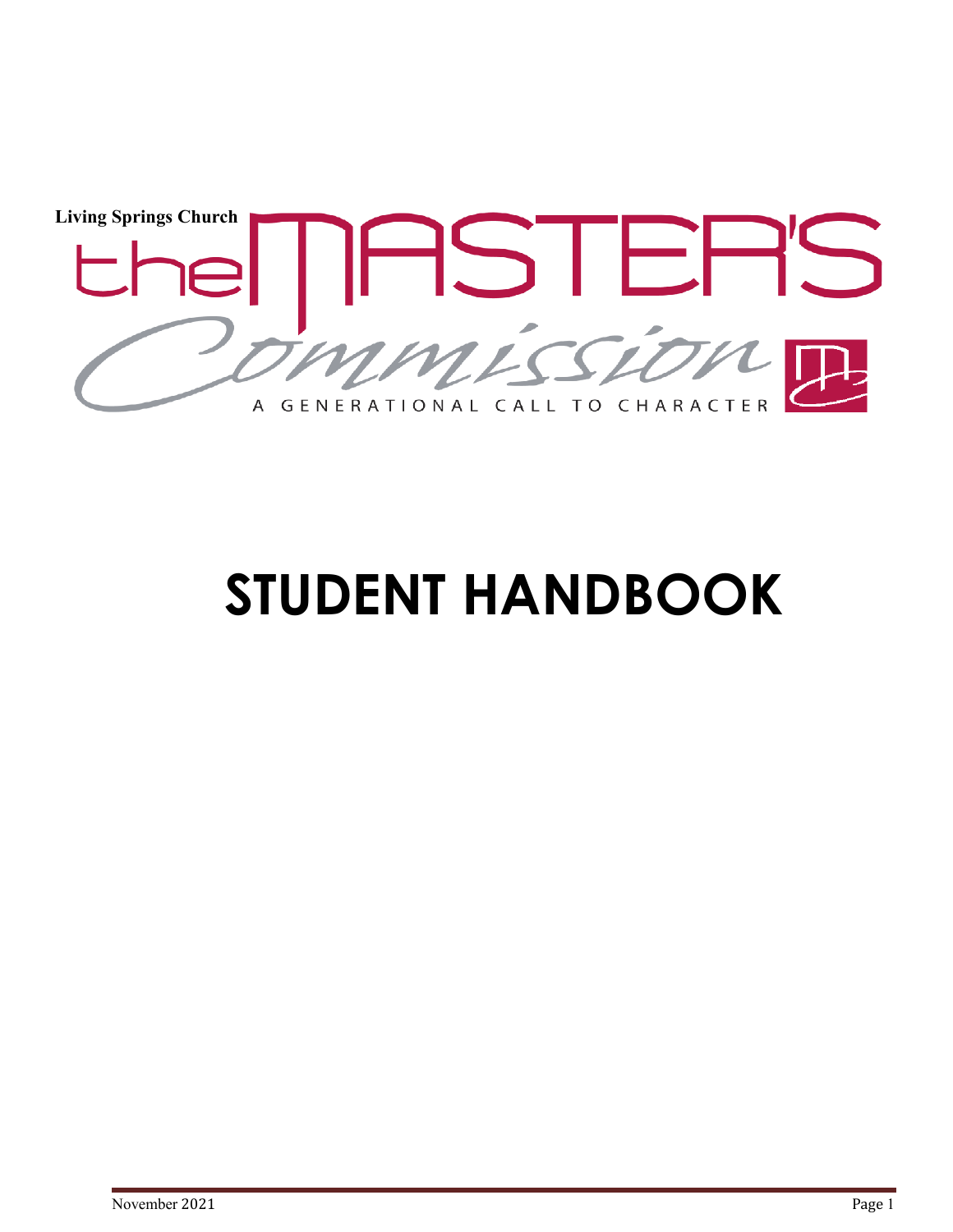

# **STUDENT HANDBOOK**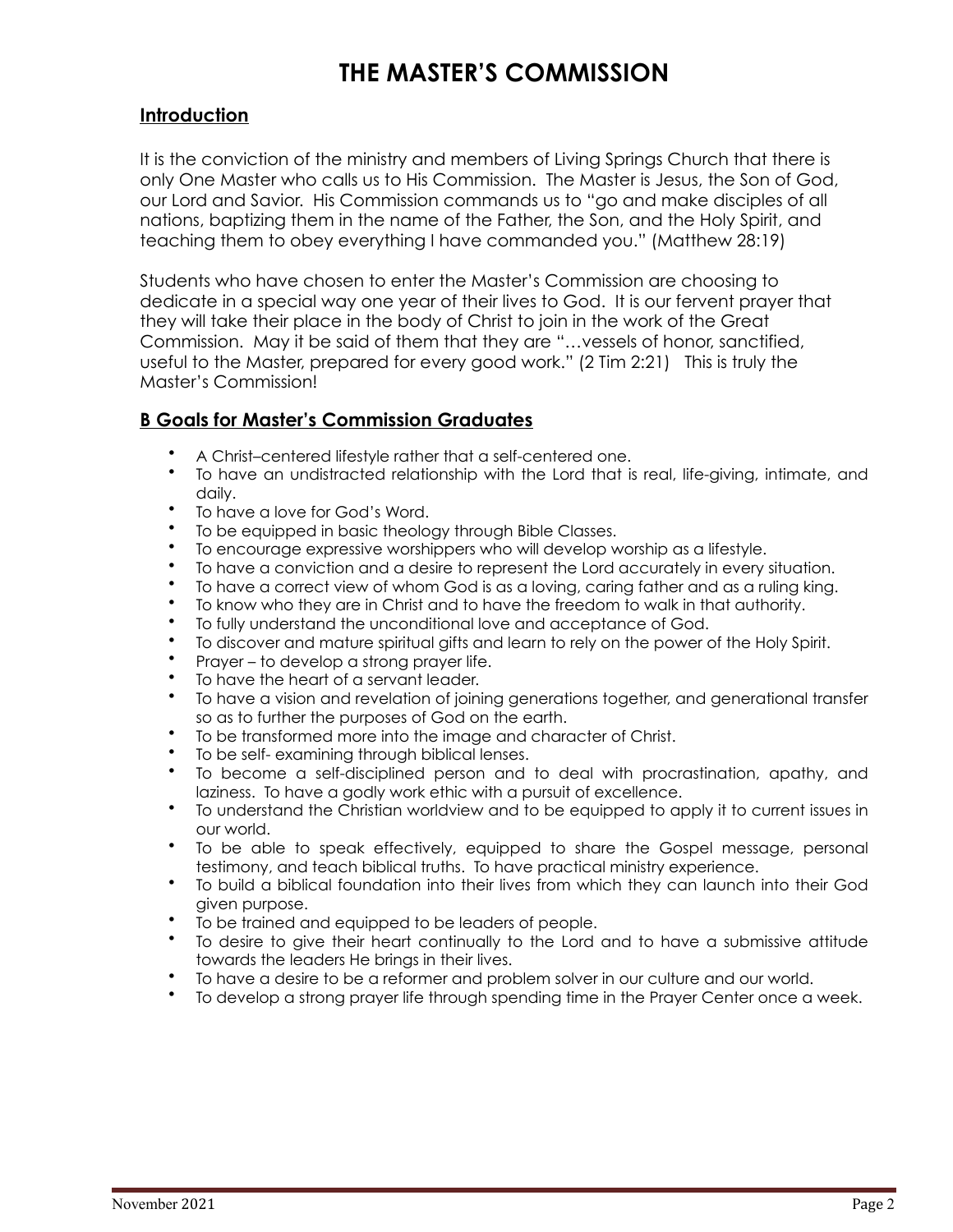# **THE MASTER'S COMMISSION**

#### **Introduction**

It is the conviction of the ministry and members of Living Springs Church that there is only One Master who calls us to His Commission. The Master is Jesus, the Son of God, our Lord and Savior. His Commission commands us to "go and make disciples of all nations, baptizing them in the name of the Father, the Son, and the Holy Spirit, and teaching them to obey everything I have commanded you." (Matthew 28:19)

Students who have chosen to enter the Master's Commission are choosing to dedicate in a special way one year of their lives to God. It is our fervent prayer that they will take their place in the body of Christ to join in the work of the Great Commission. May it be said of them that they are "…vessels of honor, sanctified, useful to the Master, prepared for every good work." (2 Tim 2:21) This is truly the Master's Commission!

## **B Goals for Master's Commission Graduates**

- A Christ–centered lifestyle rather that a self-centered one.
- To have an undistracted relationship with the Lord that is real, life-giving, intimate, and daily.
- To have a love for God's Word.
- To be equipped in basic theology through Bible Classes.
- To encourage expressive worshippers who will develop worship as a lifestyle.
- To have a conviction and a desire to represent the Lord accurately in every situation.
- To have a correct view of whom God is as a loving, caring father and as a ruling king.
- To know who they are in Christ and to have the freedom to walk in that authority.
- To fully understand the unconditional love and acceptance of God.
- To discover and mature spiritual gifts and learn to rely on the power of the Holy Spirit.
- Prayer to develop a strong prayer life.
- To have the heart of a servant leader.
- To have a vision and revelation of joining generations together, and generational transfer so as to further the purposes of God on the earth.
- To be transformed more into the image and character of Christ.
- To be self- examining through biblical lenses.
- To become a self-disciplined person and to deal with procrastination, apathy, and laziness. To have a godly work ethic with a pursuit of excellence.
- To understand the Christian worldview and to be equipped to apply it to current issues in our world.
- To be able to speak effectively, equipped to share the Gospel message, personal testimony, and teach biblical truths. To have practical ministry experience.
- To build a biblical foundation into their lives from which they can launch into their God given purpose.
- To be trained and equipped to be leaders of people.
- To desire to give their heart continually to the Lord and to have a submissive attitude towards the leaders He brings in their lives.
- To have a desire to be a reformer and problem solver in our culture and our world.
- To develop a strong prayer life through spending time in the Prayer Center once a week.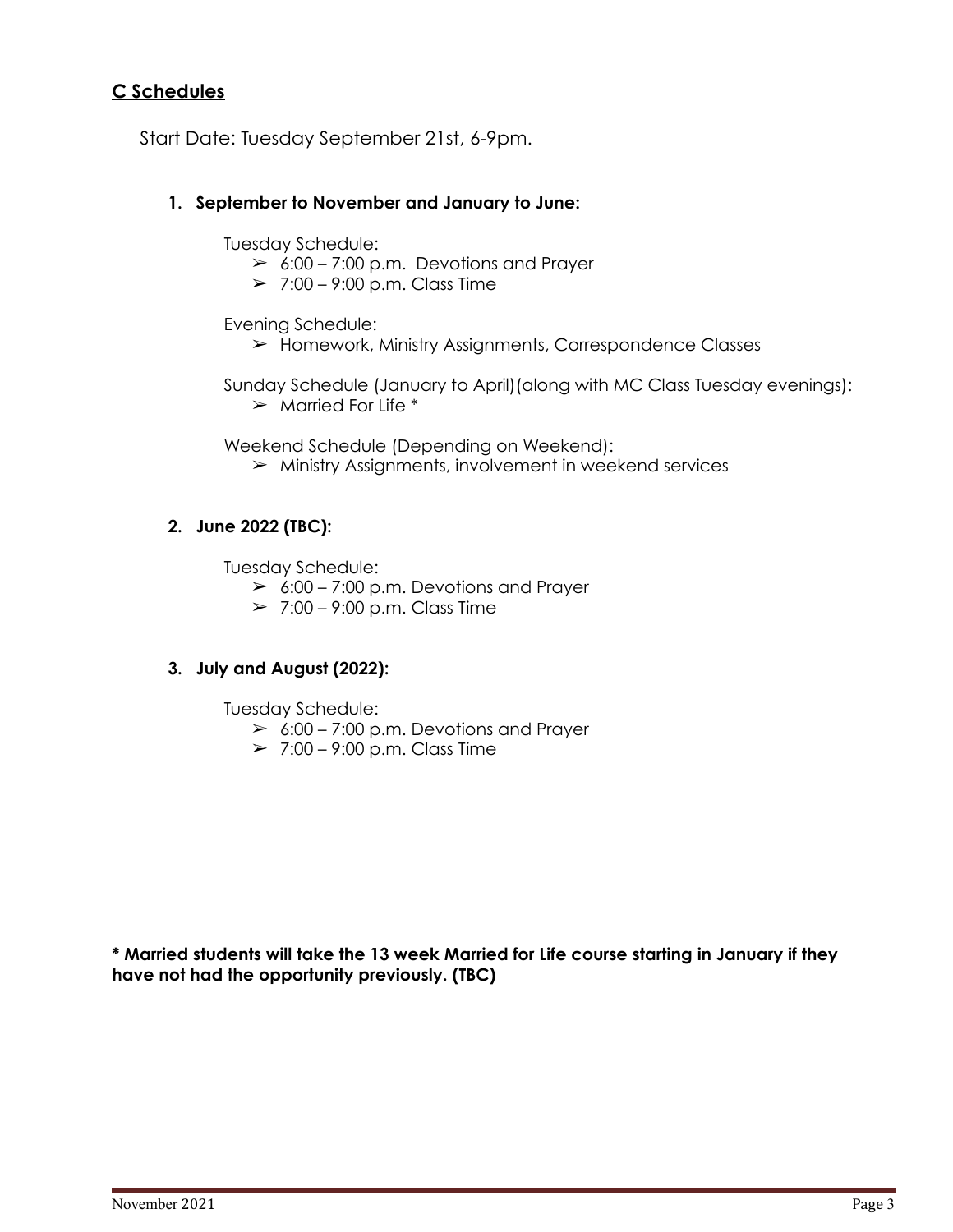### **C Schedules**

Start Date: Tuesday September 21st, 6-9pm.

#### **1. September to November and January to June:**

Tuesday Schedule:

- $\geq 6:00 7:00$  p.m. Devotions and Prayer
- $> 7:00 9:00$  p.m. Class Time

Evening Schedule:

➢ Homework, Ministry Assignments, Correspondence Classes

Sunday Schedule (January to April)(along with MC Class Tuesday evenings):  $\triangleright$  Married For Life  $*$ 

Weekend Schedule (Depending on Weekend):

 $\triangleright$  Ministry Assignments, involvement in weekend services

#### **2. June 2022 (TBC):**

Tuesday Schedule:

- $\geq$  6:00 7:00 p.m. Devotions and Prayer
- $> 7:00 9:00$  p.m. Class Time

#### **3. July and August (2022):**

Tuesday Schedule:

- $\geq 6:00 7:00$  p.m. Devotions and Prayer
- $\geq 7:00 9:00$  p.m. Class Time

**\* Married students will take the 13 week Married for Life course starting in January if they have not had the opportunity previously. (TBC)**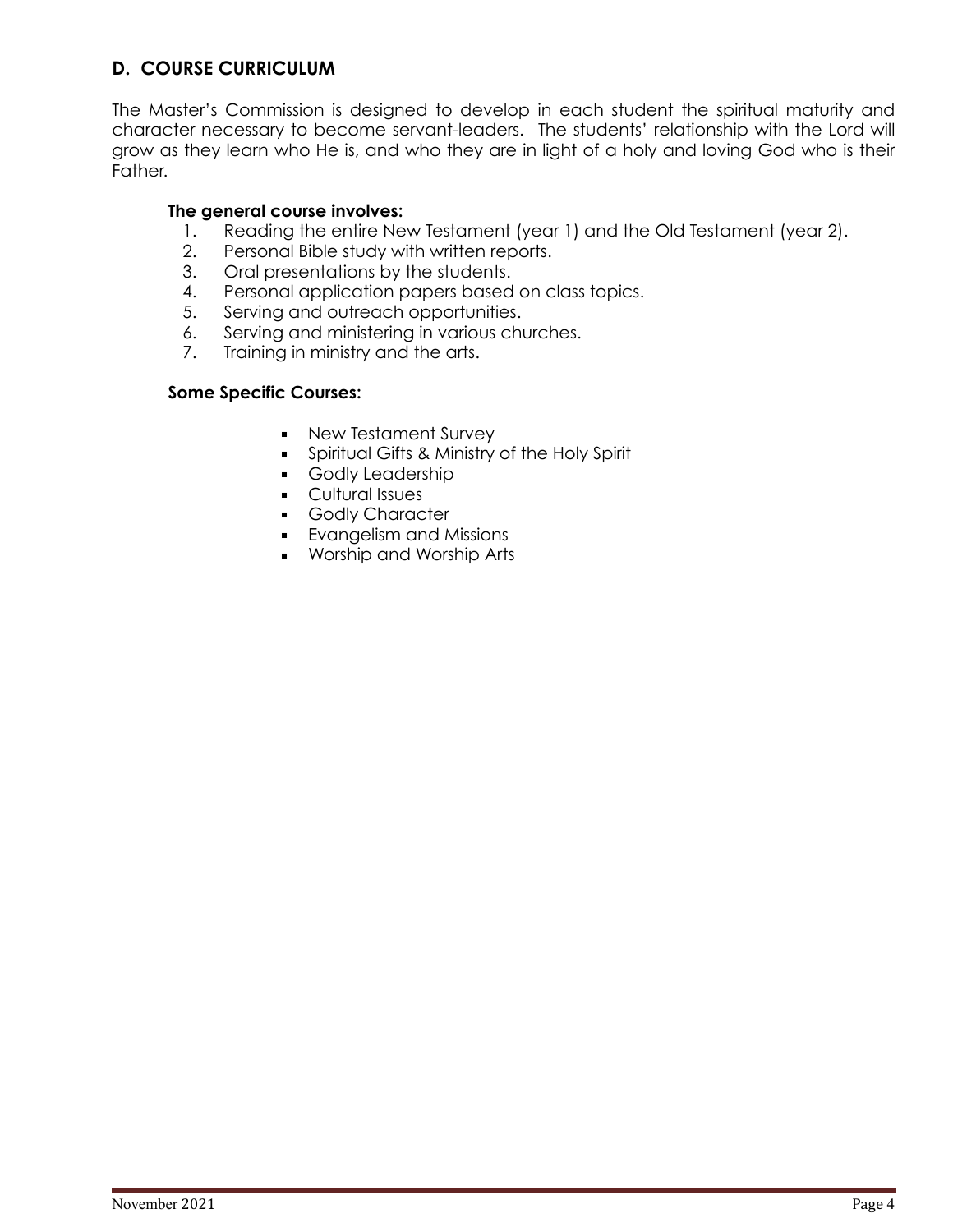## **D. COURSE CURRICULUM**

The Master's Commission is designed to develop in each student the spiritual maturity and character necessary to become servant-leaders. The students' relationship with the Lord will grow as they learn who He is, and who they are in light of a holy and loving God who is their Father.

#### **The general course involves:**

- 1. Reading the entire New Testament (year 1) and the Old Testament (year 2).
- 2. Personal Bible study with written reports.
- 3. Oral presentations by the students.
- 4. Personal application papers based on class topics.
- 5. Serving and outreach opportunities.
- 6. Serving and ministering in various churches.
- 7. Training in ministry and the arts.

#### **Some Specific Courses:**

- New Testament Survey
- **•** Spiritual Gifts & Ministry of the Holy Spirit
- Godly Leadership
- Cultural Issues
- Godly Character
- **•** Evangelism and Missions
- Worship and Worship Arts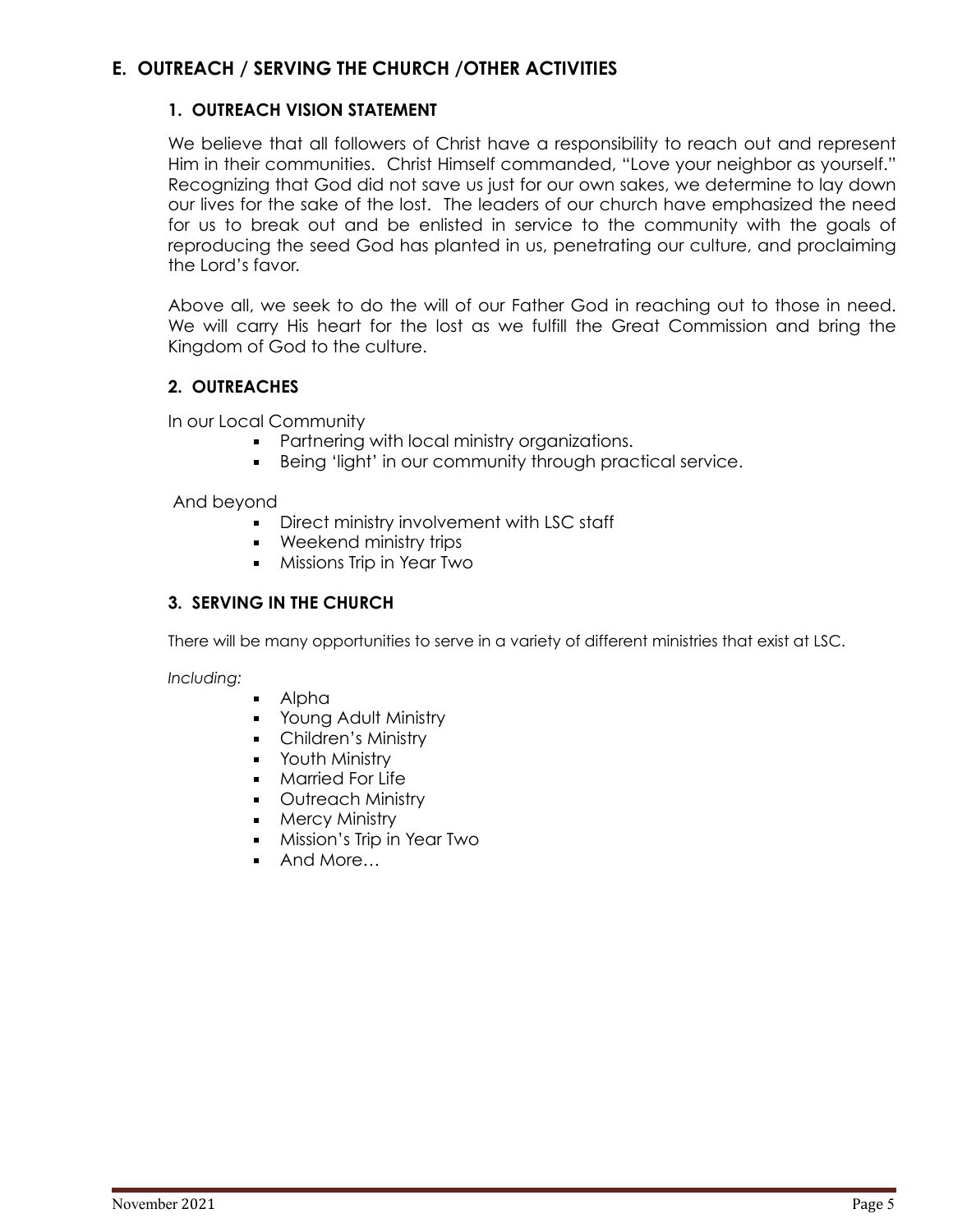## **E. OUTREACH / SERVING THE CHURCH /OTHER ACTIVITIES**

#### **1. OUTREACH VISION STATEMENT**

We believe that all followers of Christ have a responsibility to reach out and represent Him in their communities. Christ Himself commanded, "Love your neighbor as yourself." Recognizing that God did not save us just for our own sakes, we determine to lay down our lives for the sake of the lost. The leaders of our church have emphasized the need for us to break out and be enlisted in service to the community with the goals of reproducing the seed God has planted in us, penetrating our culture, and proclaiming the Lord's favor.

Above all, we seek to do the will of our Father God in reaching out to those in need. We will carry His heart for the lost as we fulfill the Great Commission and bring the Kingdom of God to the culture.

#### **2. OUTREACHES**

In our Local Community

- **Partnering with local ministry organizations.**
- **EXECT:** Being 'light' in our community through practical service.

#### And beyond

- **•** Direct ministry involvement with LSC staff
- Weekend ministry trips
- **•** Missions Trip in Year Two

#### **3. SERVING IN THE CHURCH**

There will be many opportunities to serve in a variety of different ministries that exist at LSC.

*Including:*

- Alpha
- **Young Adult Ministry**
- Children's Ministry
- **■** Youth Ministry
- **•** Married For Life
- Outreach Ministry
- Mercy Ministry
- **•** Mission's Trip in Year Two
- And More…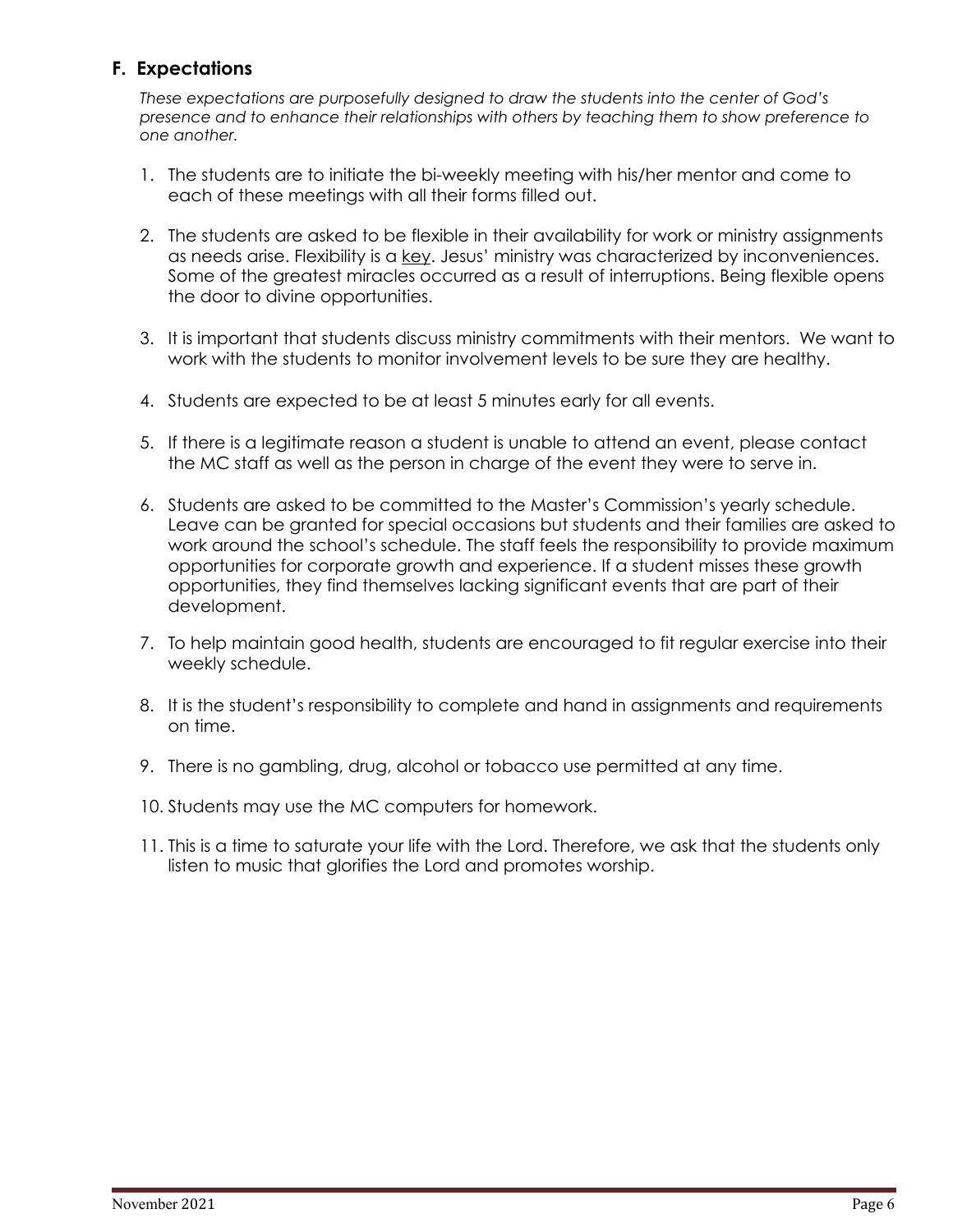## **F. Expectations**

*These expectations are purposefully designed to draw the students into the center of God's presence and to enhance their relationships with others by teaching them to show preference to one another.*

- 1. The students are to initiate the bi-weekly meeting with his/her mentor and come to each of these meetings with all their forms filled out.
- 2. The students are asked to be flexible in their availability for work or ministry assignments as needs arise. Flexibility is a key. Jesus' ministry was characterized by inconveniences. Some of the greatest miracles occurred as a result of interruptions. Being flexible opens the door to divine opportunities.
- 3. It is important that students discuss ministry commitments with their mentors. We want to work with the students to monitor involvement levels to be sure they are healthy.
- 4. Students are expected to be at least 5 minutes early for all events.
- 5. If there is a legitimate reason a student is unable to attend an event, please contact the MC staff as well as the person in charge of the event they were to serve in.
- 6. Students are asked to be committed to the Master's Commission's yearly schedule. Leave can be granted for special occasions but students and their families are asked to work around the school's schedule. The staff feels the responsibility to provide maximum opportunities for corporate growth and experience. If a student misses these growth opportunities, they find themselves lacking significant events that are part of their development.
- 7. To help maintain good health, students are encouraged to fit regular exercise into their weekly schedule.
- 8. It is the student's responsibility to complete and hand in assignments and requirements on time.
- 9. There is no gambling, drug, alcohol or tobacco use permitted at any time.
- 10. Students may use the MC computers for homework.
- 11. This is a time to saturate your life with the Lord. Therefore, we ask that the students only listen to music that glorifies the Lord and promotes worship.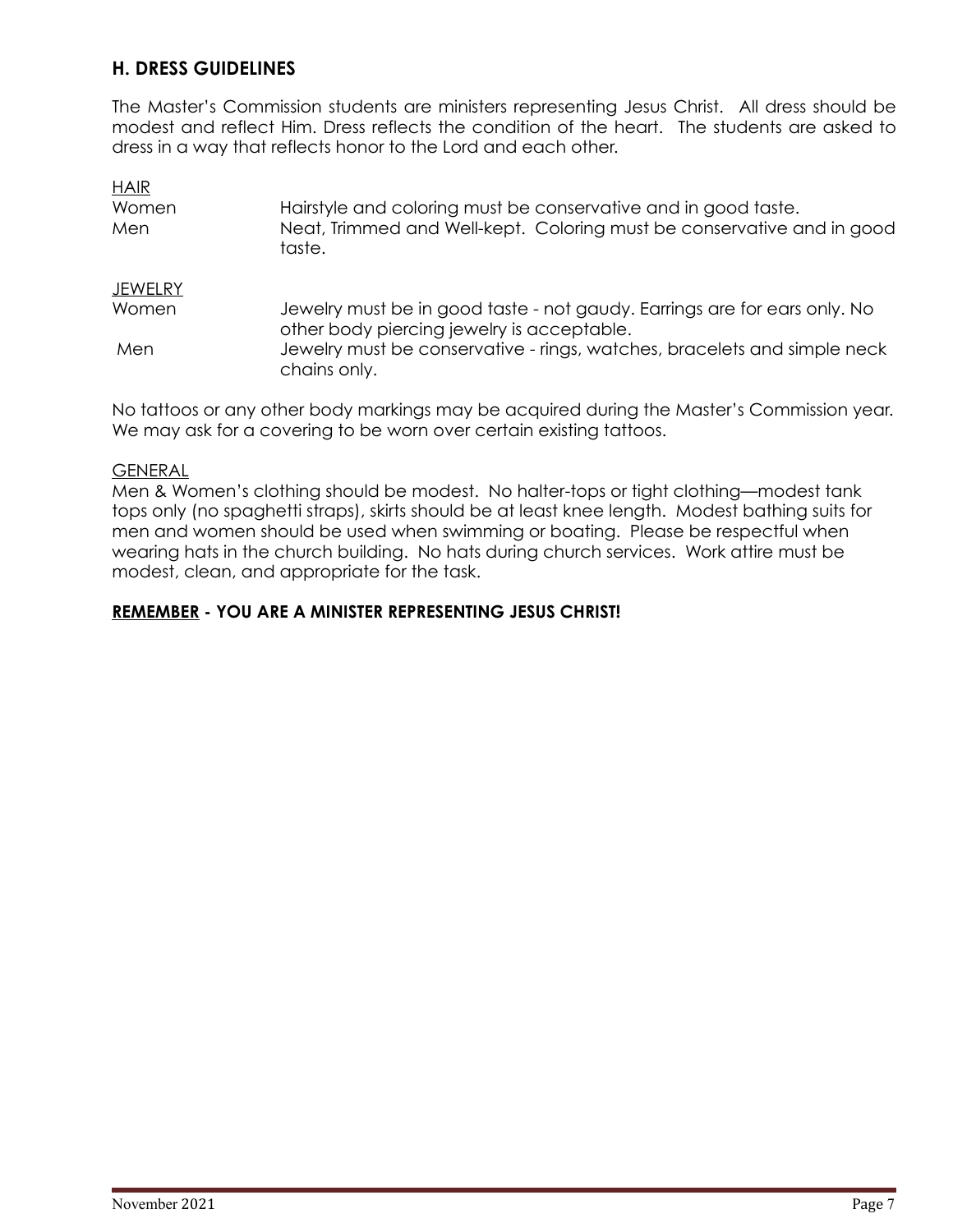## **H. DRESS GUIDELINES**

The Master's Commission students are ministers representing Jesus Christ. All dress should be modest and reflect Him. Dress reflects the condition of the heart. The students are asked to dress in a way that reflects honor to the Lord and each other.

| <b>HAIR</b>    |                                                                                                                         |
|----------------|-------------------------------------------------------------------------------------------------------------------------|
| Women          | Hairstyle and coloring must be conservative and in good taste.                                                          |
| Men            | Neat, Trimmed and Well-kept. Coloring must be conservative and in good<br>taste.                                        |
| <b>JEWELRY</b> |                                                                                                                         |
| Women          | Jewelry must be in good taste - not gaudy. Earrings are for ears only. No<br>other body piercing jewelry is acceptable. |
| Men            | Jewelry must be conservative - rings, watches, bracelets and simple neck<br>chains only.                                |

No tattoos or any other body markings may be acquired during the Master's Commission year. We may ask for a covering to be worn over certain existing tattoos.

#### **GENERAL**

Men & Women's clothing should be modest. No halter-tops or tight clothing—modest tank tops only (no spaghetti straps), skirts should be at least knee length. Modest bathing suits for men and women should be used when swimming or boating. Please be respectful when wearing hats in the church building. No hats during church services. Work attire must be modest, clean, and appropriate for the task.

#### **REMEMBER - YOU ARE A MINISTER REPRESENTING JESUS CHRIST!**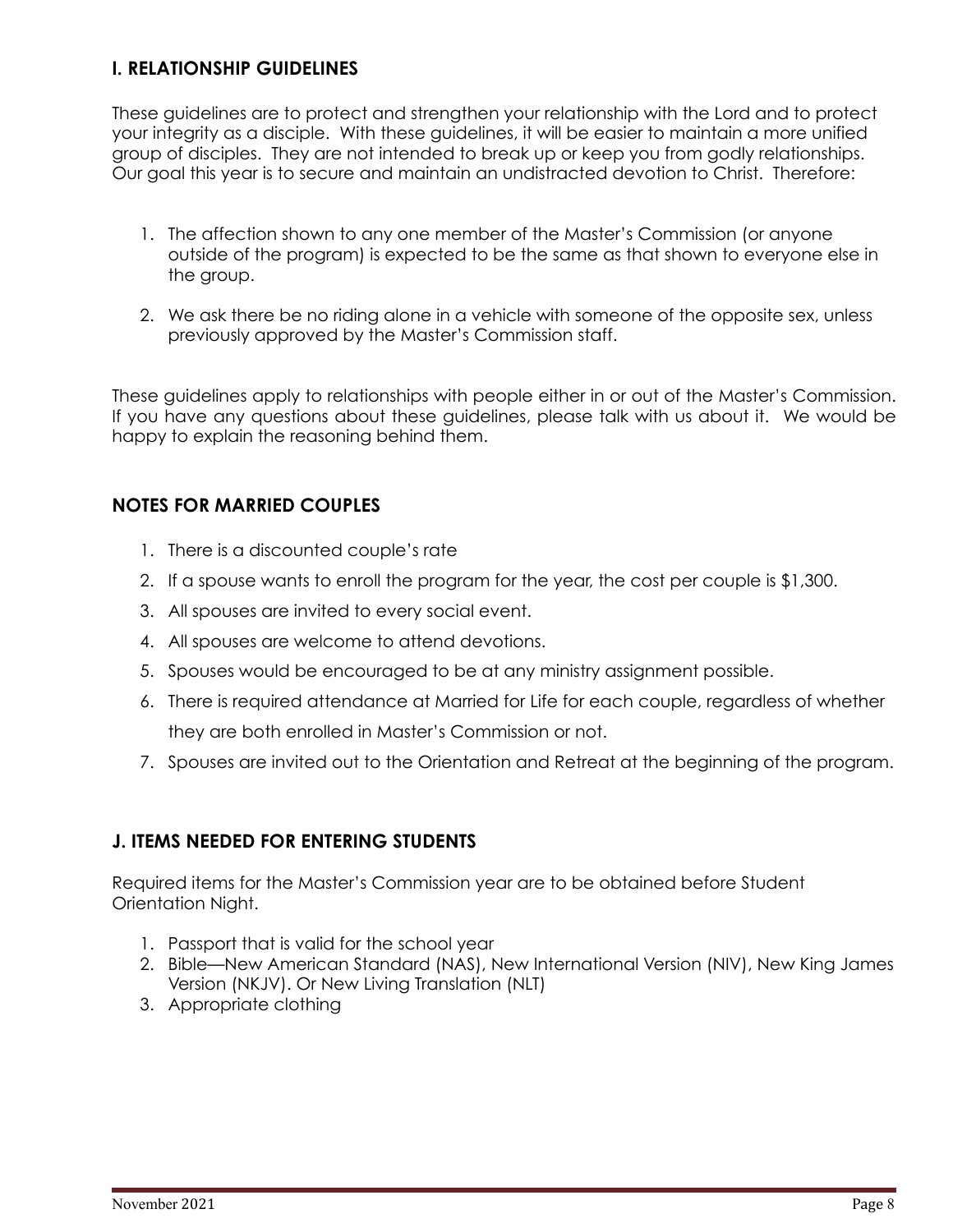## **I. RELATIONSHIP GUIDELINES**

These guidelines are to protect and strengthen your relationship with the Lord and to protect your integrity as a disciple. With these guidelines, it will be easier to maintain a more unified group of disciples. They are not intended to break up or keep you from godly relationships. Our goal this year is to secure and maintain an undistracted devotion to Christ. Therefore:

- 1. The affection shown to any one member of the Master's Commission (or anyone outside of the program) is expected to be the same as that shown to everyone else in the group.
- 2. We ask there be no riding alone in a vehicle with someone of the opposite sex, unless previously approved by the Master's Commission staff.

These guidelines apply to relationships with people either in or out of the Master's Commission. If you have any questions about these guidelines, please talk with us about it. We would be happy to explain the reasoning behind them.

## **NOTES FOR MARRIED COUPLES**

- 1. There is a discounted couple's rate
- 2. If a spouse wants to enroll the program for the year, the cost per couple is \$1,300.
- 3. All spouses are invited to every social event.
- 4. All spouses are welcome to attend devotions.
- 5. Spouses would be encouraged to be at any ministry assignment possible.
- 6. There is required attendance at Married for Life for each couple, regardless of whether they are both enrolled in Master's Commission or not.
- 7. Spouses are invited out to the Orientation and Retreat at the beginning of the program.

## **J. ITEMS NEEDED FOR ENTERING STUDENTS**

Required items for the Master's Commission year are to be obtained before Student Orientation Night.

- 1. Passport that is valid for the school year
- 2. Bible—New American Standard (NAS), New International Version (NIV), New King James Version (NKJV). Or New Living Translation (NLT)
- 3. Appropriate clothing